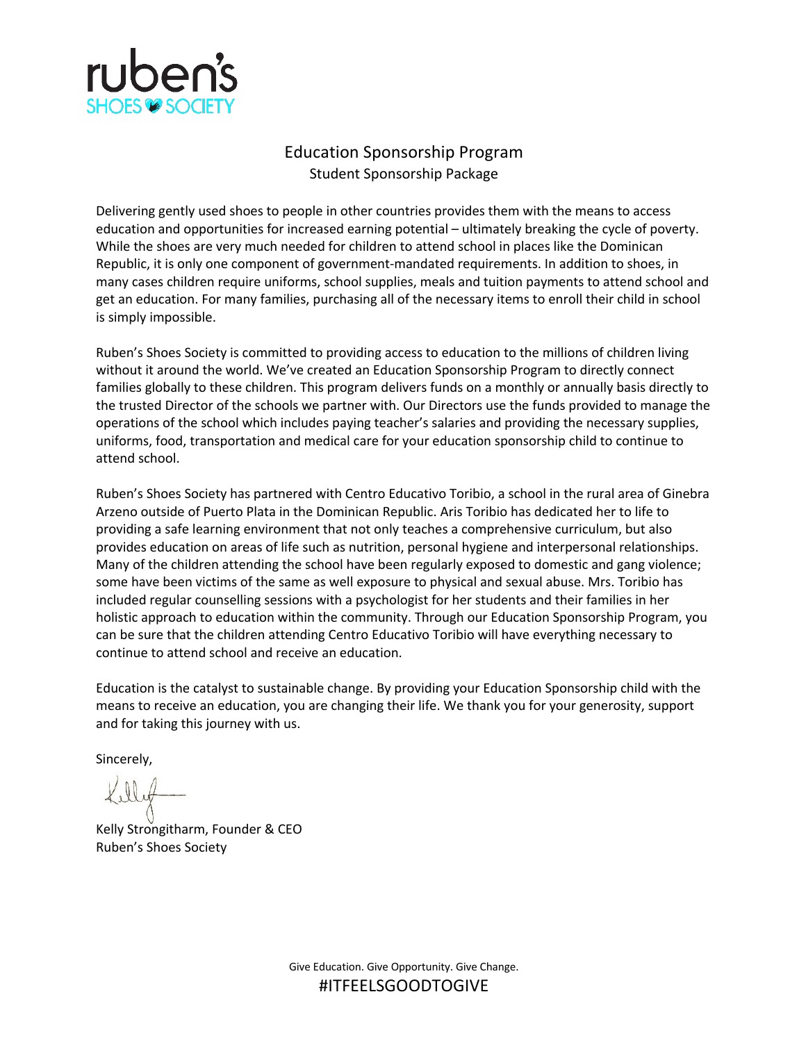

## Education Sponsorship Program Student Sponsorship Package

Delivering gently used shoes to people in other countries provides them with the means to access education and opportunities for increased earning potential – ultimately breaking the cycle of poverty. While the shoes are very much needed for children to attend school in places like the Dominican Republic, it is only one component of government-mandated requirements. In addition to shoes, in many cases children require uniforms, school supplies, meals and tuition payments to attend school and get an education. For many families, purchasing all of the necessary items to enroll their child in school is simply impossible.

Ruben's Shoes Society is committed to providing access to education to the millions of children living without it around the world. We've created an Education Sponsorship Program to directly connect families globally to these children. This program delivers funds on a monthly or annually basis directly to the trusted Director of the schools we partner with. Our Directors use the funds provided to manage the operations of the school which includes paying teacher's salaries and providing the necessary supplies, uniforms, food, transportation and medical care for your education sponsorship child to continue to attend school.

Ruben's Shoes Society has partnered with Centro Educativo Toribio, a school in the rural area of Ginebra Arzeno outside of Puerto Plata in the Dominican Republic. Aris Toribio has dedicated her to life to providing a safe learning environment that not only teaches a comprehensive curriculum, but also provides education on areas of life such as nutrition, personal hygiene and interpersonal relationships. Many of the children attending the school have been regularly exposed to domestic and gang violence; some have been victims of the same as well exposure to physical and sexual abuse. Mrs. Toribio has included regular counselling sessions with a psychologist for her students and their families in her holistic approach to education within the community. Through our Education Sponsorship Program, you can be sure that the children attending Centro Educativo Toribio will have everything necessary to continue to attend school and receive an education.

Education is the catalyst to sustainable change. By providing your Education Sponsorship child with the means to receive an education, you are changing their life. We thank you for your generosity, support and for taking this journey with us.

Sincerely,

Kelly Strongitharm, Founder & CEO Ruben's Shoes Society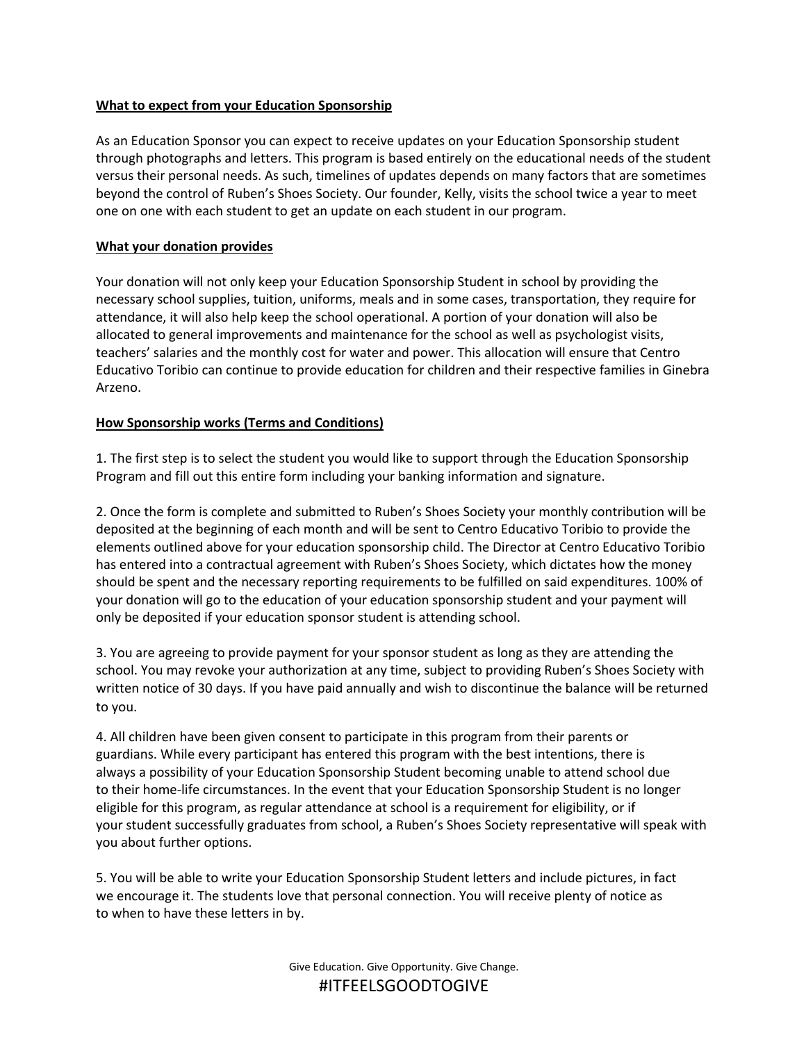### **What to expect from your Education Sponsorship**

As an Education Sponsor you can expect to receive updates on your Education Sponsorship student through photographs and letters. This program is based entirely on the educational needs of the student versus their personal needs. As such, timelines of updates depends on many factors that are sometimes beyond the control of Ruben's Shoes Society. Our founder, Kelly, visits the school twice a year to meet one on one with each student to get an update on each student in our program.

#### **What your donation provides**

Your donation will not only keep your Education Sponsorship Student in school by providing the necessary school supplies, tuition, uniforms, meals and in some cases, transportation, they require for attendance, it will also help keep the school operational. A portion of your donation will also be allocated to general improvements and maintenance for the school as well as psychologist visits, teachers' salaries and the monthly cost for water and power. This allocation will ensure that Centro Educativo Toribio can continue to provide education for children and their respective families in Ginebra Arzeno.

### **How Sponsorship works (Terms and Conditions)**

1. The first step is to select the student you would like to support through the Education Sponsorship Program and fill out this entire form including your banking information and signature.

2. Once the form is complete and submitted to Ruben's Shoes Society your monthly contribution will be deposited at the beginning of each month and will be sent to Centro Educativo Toribio to provide the elements outlined above for your education sponsorship child. The Director at Centro Educativo Toribio has entered into a contractual agreement with Ruben's Shoes Society, which dictates how the money should be spent and the necessary reporting requirements to be fulfilled on said expenditures. 100% of your donation will go to the education of your education sponsorship student and your payment will only be deposited if your education sponsor student is attending school.

3. You are agreeing to provide payment for your sponsor student as long as they are attending the school. You may revoke your authorization at any time, subject to providing Ruben's Shoes Society with written notice of 30 days. If you have paid annually and wish to discontinue the balance will be returned to you.

4. All children have been given consent to participate in this program from their parents or guardians. While every participant has entered this program with the best intentions, there is always a possibility of your Education Sponsorship Student becoming unable to attend school due to their home-life circumstances. In the event that your Education Sponsorship Student is no longer eligible for this program, as regular attendance at school is a requirement for eligibility, or if your student successfully graduates from school, a Ruben's Shoes Society representative will speak with you about further options.

5. You will be able to write your Education Sponsorship Student letters and include pictures, in fact we encourage it. The students love that personal connection. You will receive plenty of notice as to when to have these letters in by.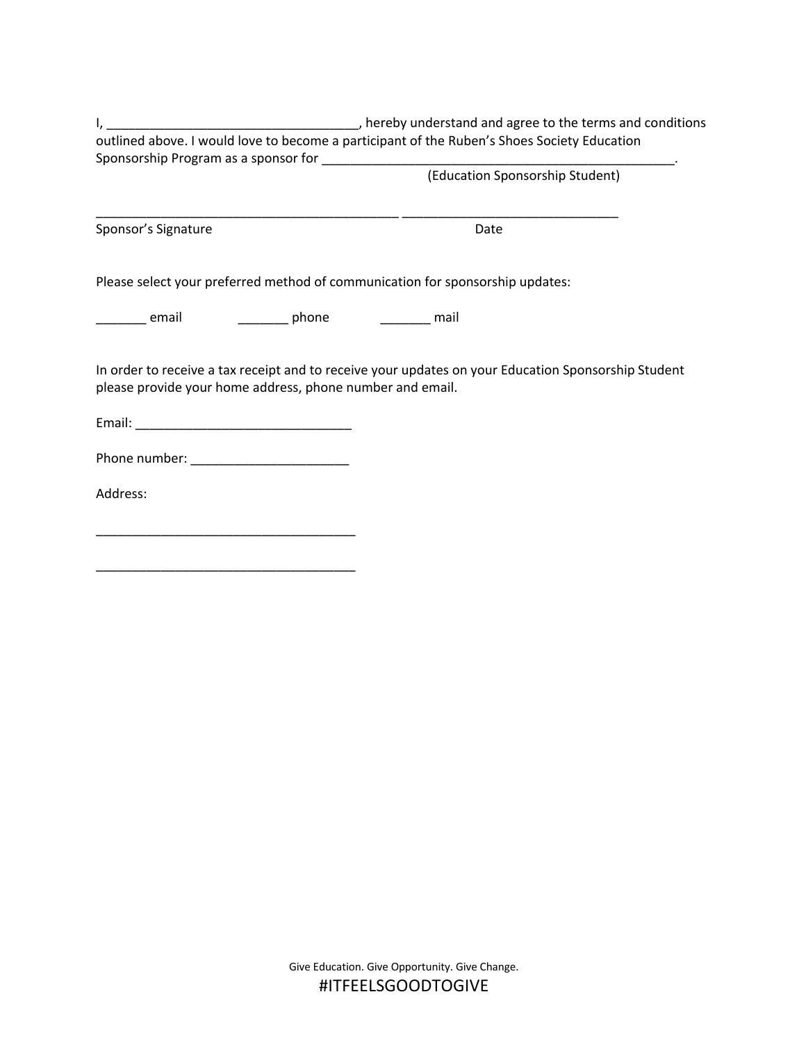I, thereby understand and agree to the terms and conditions of the terms and conditions outlined above. I would love to become a participant of the Ruben's Shoes Society Education Sponsorship Program as a sponsor for \_\_\_\_\_\_\_\_\_\_\_\_\_\_\_\_\_\_\_\_\_\_\_\_\_\_\_\_\_\_\_\_\_\_\_\_\_\_\_\_\_\_\_\_\_\_\_\_\_.

(Education Sponsorship Student)

Sponsor's Signature Date Date

Please select your preferred method of communication for sponsorship updates:

\_\_\_\_\_\_\_\_\_\_\_\_\_\_\_\_\_\_\_\_\_\_\_\_\_\_\_\_\_\_\_\_\_\_\_\_\_\_\_\_\_\_ \_\_\_\_\_\_\_\_\_\_\_\_\_\_\_\_\_\_\_\_\_\_\_\_\_\_\_\_\_\_

\_\_\_\_\_\_\_ email \_\_\_\_\_\_\_\_\_ phone \_\_\_\_\_\_\_\_ mail

In order to receive a tax receipt and to receive your updates on your Education Sponsorship Student please provide your home address, phone number and email.

Email: \_\_\_\_\_\_\_\_\_\_\_\_\_\_\_\_\_\_\_\_\_\_\_\_\_\_\_\_\_\_

Phone number: \_\_\_\_\_\_\_\_\_\_\_\_\_\_\_\_\_\_\_\_\_\_

\_\_\_\_\_\_\_\_\_\_\_\_\_\_\_\_\_\_\_\_\_\_\_\_\_\_\_\_\_\_\_\_\_\_\_\_

\_\_\_\_\_\_\_\_\_\_\_\_\_\_\_\_\_\_\_\_\_\_\_\_\_\_\_\_\_\_\_\_\_\_\_\_

Address: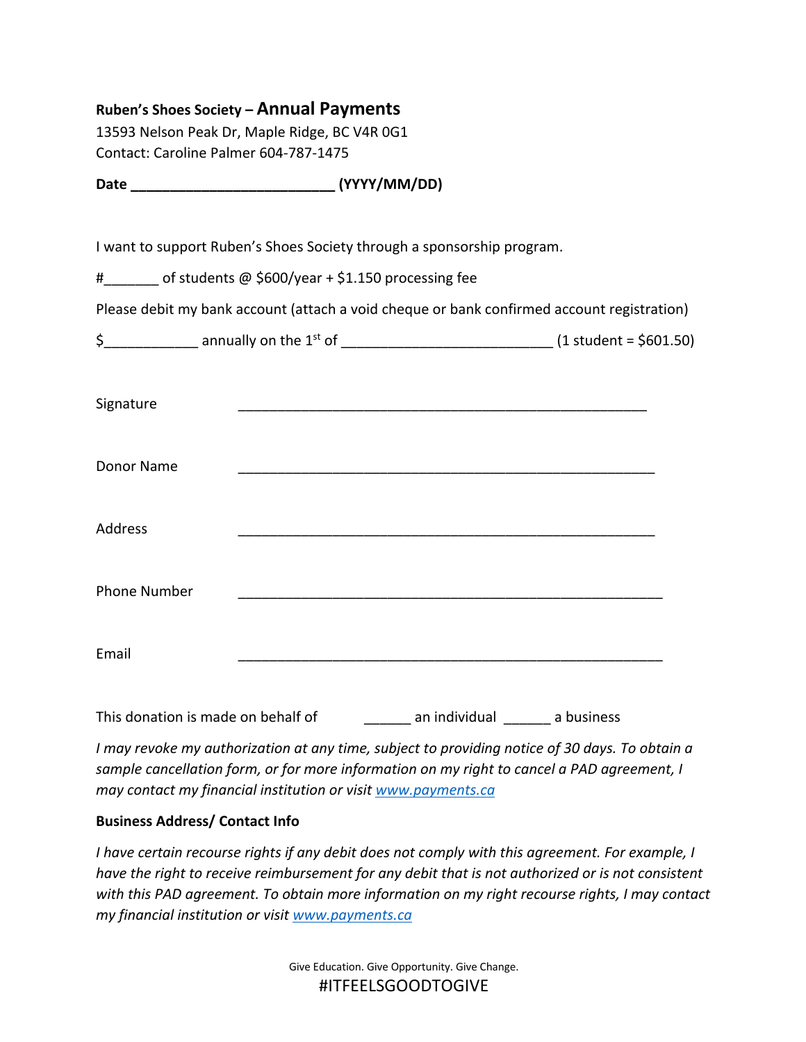# **Ruben's Shoes Society – Annual Payments**

13593 Nelson Peak Dr, Maple Ridge, BC V4R 0G1 Contact: Caroline Palmer 604-787-1475

**Date \_\_\_\_\_\_\_\_\_\_\_\_\_\_\_\_\_\_\_\_\_\_\_\_\_\_ (YYYY/MM/DD)**

I want to support Ruben's Shoes Society through a sponsorship program.

# of students @ \$600/year + \$1.150 processing fee

Please debit my bank account (attach a void cheque or bank confirmed account registration)

| annually on the $1st$ of | $(1 student = $601.50)$ |
|--------------------------|-------------------------|
|                          |                         |

| Signature           |  |
|---------------------|--|
| Donor Name          |  |
| Address             |  |
| <b>Phone Number</b> |  |
| Email               |  |

This donation is made on behalf of This an individual an individual and business

*I may revoke my authorization at any time, subject to providing notice of 30 days. To obtain a sample cancellation form, or for more information on my right to cancel a PAD agreement, I may contact my financial institution or visit www.payments.ca*

## **Business Address/ Contact Info**

*I have certain recourse rights if any debit does not comply with this agreement. For example, I have the right to receive reimbursement for any debit that is not authorized or is not consistent with this PAD agreement. To obtain more information on my right recourse rights, I may contact my financial institution or visit www.payments.ca*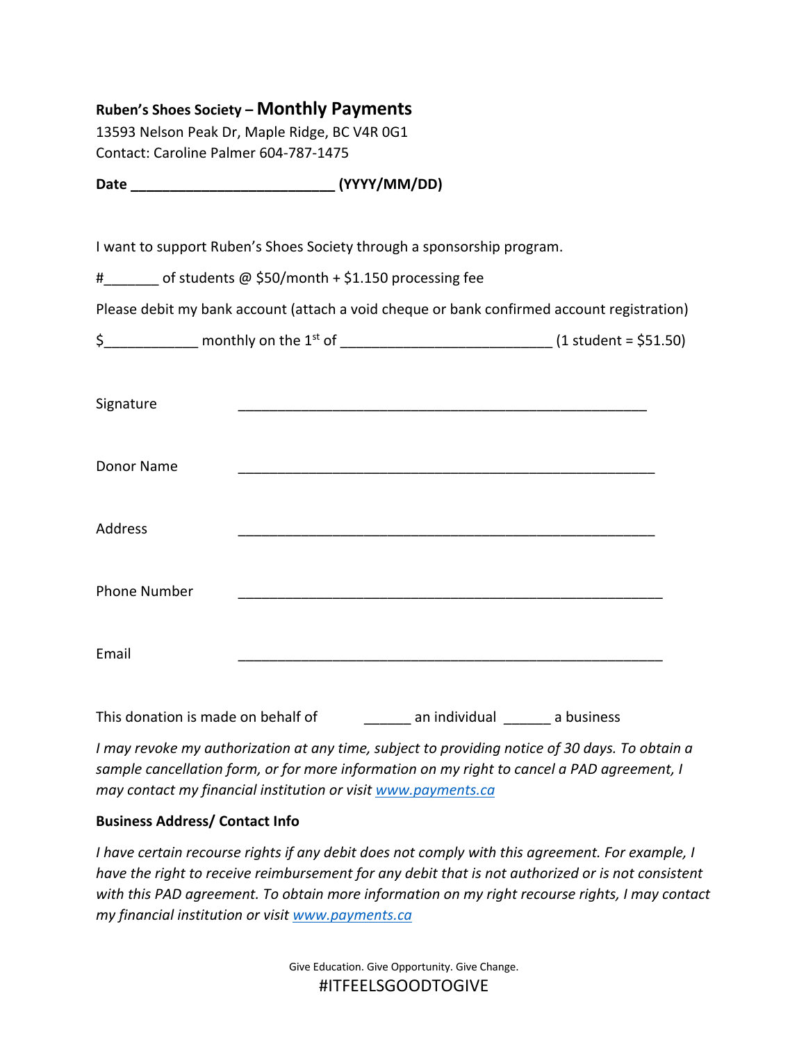# **Ruben's Shoes Society – Monthly Payments**

13593 Nelson Peak Dr, Maple Ridge, BC V4R 0G1 Contact: Caroline Palmer 604-787-1475

**Date \_\_\_\_\_\_\_\_\_\_\_\_\_\_\_\_\_\_\_\_\_\_\_\_\_\_ (YYYY/MM/DD)**

I want to support Ruben's Shoes Society through a sponsorship program.

# of students @ \$50/month + \$1.150 processing fee

Please debit my bank account (attach a void cheque or bank confirmed account registration)

| monthly on the 1 <sup>st</sup> of | $(1 student = $51.50)$ |
|-----------------------------------|------------------------|
|                                   |                        |

| Signature           |  |
|---------------------|--|
| Donor Name          |  |
| Address             |  |
| <b>Phone Number</b> |  |
| Email               |  |

This donation is made on behalf of This an individual an individual and business

*I may revoke my authorization at any time, subject to providing notice of 30 days. To obtain a sample cancellation form, or for more information on my right to cancel a PAD agreement, I may contact my financial institution or visit www.payments.ca*

## **Business Address/ Contact Info**

*I have certain recourse rights if any debit does not comply with this agreement. For example, I have the right to receive reimbursement for any debit that is not authorized or is not consistent with this PAD agreement. To obtain more information on my right recourse rights, I may contact my financial institution or visit www.payments.ca*